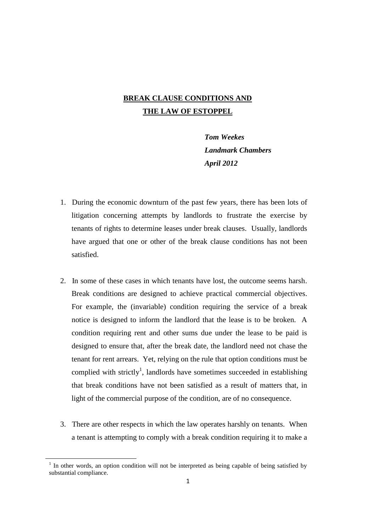## **BREAK CLAUSE CONDITIONS AND THE LAW OF ESTOPPEL**

*Tom Weekes Landmark Chambers April 2012*

- 1. During the economic downturn of the past few years, there has been lots of litigation concerning attempts by landlords to frustrate the exercise by tenants of rights to determine leases under break clauses. Usually, landlords have argued that one or other of the break clause conditions has not been satisfied.
- 2. In some of these cases in which tenants have lost, the outcome seems harsh. Break conditions are designed to achieve practical commercial objectives. For example, the (invariable) condition requiring the service of a break notice is designed to inform the landlord that the lease is to be broken. A condition requiring rent and other sums due under the lease to be paid is designed to ensure that, after the break date, the landlord need not chase the tenant for rent arrears. Yet, relying on the rule that option conditions must be complied with strictly<sup>1</sup>, landlords have sometimes succeeded in establishing that break conditions have not been satisfied as a result of matters that, in light of the commercial purpose of the condition, are of no consequence.
- 3. There are other respects in which the law operates harshly on tenants. When a tenant is attempting to comply with a break condition requiring it to make a

**.** 

 $<sup>1</sup>$  In other words, an option condition will not be interpreted as being capable of being satisfied by</sup> substantial compliance.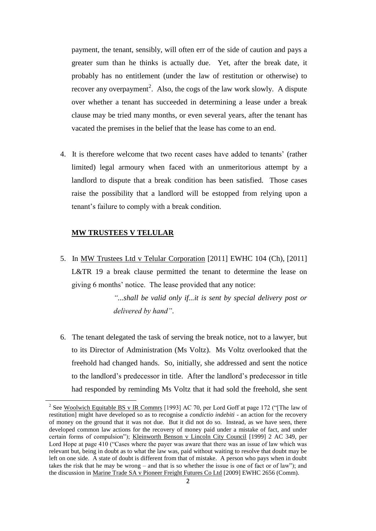payment, the tenant, sensibly, will often err of the side of caution and pays a greater sum than he thinks is actually due. Yet, after the break date, it probably has no entitlement (under the law of restitution or otherwise) to recover any overpayment<sup>2</sup>. Also, the cogs of the law work slowly. A dispute over whether a tenant has succeeded in determining a lease under a break clause may be tried many months, or even several years, after the tenant has vacated the premises in the belief that the lease has come to an end.

4. It is therefore welcome that two recent cases have added to tenants' (rather limited) legal armoury when faced with an unmeritorious attempt by a landlord to dispute that a break condition has been satisfied. Those cases raise the possibility that a landlord will be estopped from relying upon a tenant's failure to comply with a break condition.

## **MW TRUSTEES V TELULAR**

**.** 

5. In MW Trustees Ltd v Telular Corporation [2011] EWHC 104 (Ch), [2011] L&TR 19 a break clause permitted the tenant to determine the lease on giving 6 months' notice. The lease provided that any notice:

> *"...shall be valid only if...it is sent by special delivery post or delivered by hand"*.

6. The tenant delegated the task of serving the break notice, not to a lawyer, but to its Director of Administration (Ms Voltz). Ms Voltz overlooked that the freehold had changed hands. So, initially, she addressed and sent the notice to the landlord's predecessor in title. After the landlord's predecessor in title had responded by reminding Ms Voltz that it had sold the freehold, she sent

<sup>&</sup>lt;sup>2</sup> See Woolwich Equitable BS v IR Commrs [1993] AC 70, per Lord Goff at page 172 ("The law of restitution] might have developed so as to recognise a *condictio indebiti* - an action for the recovery of money on the ground that it was not due. But it did not do so. Instead, as we have seen, there developed common law actions for the recovery of money paid under a mistake of fact, and under certain forms of compulsion"); Kleinworth Benson v Lincoln City Council [1999] 2 AC 349, per Lord Hope at page 410 ("Cases where the payer was aware that there was an issue of law which was relevant but, being in doubt as to what the law was, paid without waiting to resolve that doubt may be left on one side. A state of doubt is different from that of mistake. A person who pays when in doubt takes the risk that he may be wrong – and that is so whether the issue is one of fact or of law"); and the discussion in Marine Trade SA v Pioneer Freight Futures Co Ltd [2009] EWHC 2656 (Comm).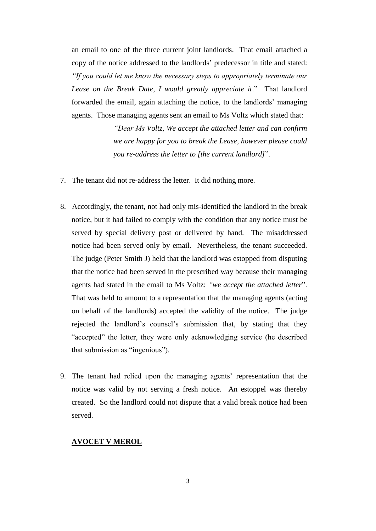an email to one of the three current joint landlords. That email attached a copy of the notice addressed to the landlords' predecessor in title and stated: *"If you could let me know the necessary steps to appropriately terminate our*  Lease on the Break Date, I would greatly appreciate it." That landlord forwarded the email, again attaching the notice, to the landlords' managing agents. Those managing agents sent an email to Ms Voltz which stated that:

> *"Dear Ms Voltz, We accept the attached letter and can confirm we are happy for you to break the Lease, however please could you re-address the letter to [the current landlord]*".

- 7. The tenant did not re-address the letter. It did nothing more.
- 8. Accordingly, the tenant, not had only mis-identified the landlord in the break notice, but it had failed to comply with the condition that any notice must be served by special delivery post or delivered by hand. The misaddressed notice had been served only by email. Nevertheless, the tenant succeeded. The judge (Peter Smith J) held that the landlord was estopped from disputing that the notice had been served in the prescribed way because their managing agents had stated in the email to Ms Voltz: *"we accept the attached letter*". That was held to amount to a representation that the managing agents (acting on behalf of the landlords) accepted the validity of the notice. The judge rejected the landlord's counsel's submission that, by stating that they "accepted" the letter, they were only acknowledging service (he described that submission as "ingenious").
- 9. The tenant had relied upon the managing agents' representation that the notice was valid by not serving a fresh notice. An estoppel was thereby created. So the landlord could not dispute that a valid break notice had been served.

## **AVOCET V MEROL**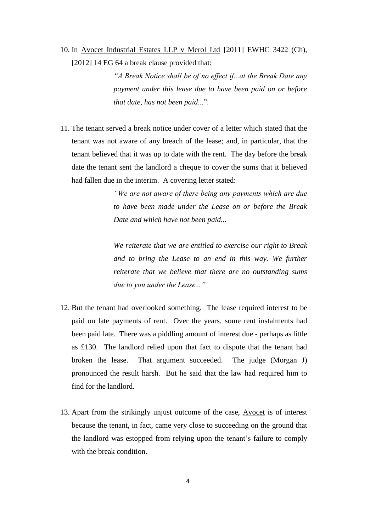10. In Avocet Industrial Estates LLP v Merol Ltd [2011] EWHC 3422 (Ch), [2012] 14 EG 64 a break clause provided that:

> *"A Break Notice shall be of no effect if...at the Break Date any payment under this lease due to have been paid on or before that date, has not been paid*...".

11. The tenant served a break notice under cover of a letter which stated that the tenant was not aware of any breach of the lease; and, in particular, that the tenant believed that it was up to date with the rent. The day before the break date the tenant sent the landlord a cheque to cover the sums that it believed had fallen due in the interim. A covering letter stated:

> *"We are not aware of there being any payments which are due to have been made under the Lease on or before the Break Date and which have not been paid...*

> *We reiterate that we are entitled to exercise our right to Break*  and to bring the Lease to an end in this way. We further *reiterate that we believe that there are no outstanding sums due to you under the Lease..."*

- 12. But the tenant had overlooked something. The lease required interest to be paid on late payments of rent. Over the years, some rent instalments had been paid late. There was a piddling amount of interest due - perhaps as little as £130. The landlord relied upon that fact to dispute that the tenant had broken the lease. That argument succeeded. The judge (Morgan J) pronounced the result harsh. But he said that the law had required him to find for the landlord.
- 13. Apart from the strikingly unjust outcome of the case, Avocet is of interest because the tenant, in fact, came very close to succeeding on the ground that the landlord was estopped from relying upon the tenant's failure to comply with the break condition.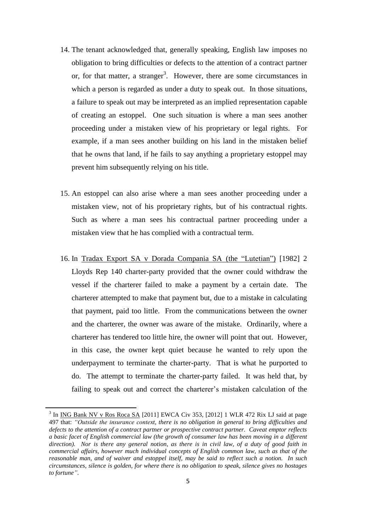- 14. The tenant acknowledged that, generally speaking, English law imposes no obligation to bring difficulties or defects to the attention of a contract partner or, for that matter, a stranger<sup>3</sup>. However, there are some circumstances in which a person is regarded as under a duty to speak out. In those situations, a failure to speak out may be interpreted as an implied representation capable of creating an estoppel. One such situation is where a man sees another proceeding under a mistaken view of his proprietary or legal rights. For example, if a man sees another building on his land in the mistaken belief that he owns that land, if he fails to say anything a proprietary estoppel may prevent him subsequently relying on his title.
- 15. An estoppel can also arise where a man sees another proceeding under a mistaken view, not of his proprietary rights, but of his contractual rights. Such as where a man sees his contractual partner proceeding under a mistaken view that he has complied with a contractual term.
- 16. In Tradax Export SA v Dorada Compania SA (the "Lutetian") [1982] 2 Lloyds Rep 140 charter-party provided that the owner could withdraw the vessel if the charterer failed to make a payment by a certain date. The charterer attempted to make that payment but, due to a mistake in calculating that payment, paid too little. From the communications between the owner and the charterer, the owner was aware of the mistake. Ordinarily, where a charterer has tendered too little hire, the owner will point that out. However, in this case, the owner kept quiet because he wanted to rely upon the underpayment to terminate the charter-party. That is what he purported to do. The attempt to terminate the charter-party failed. It was held that, by failing to speak out and correct the charterer's mistaken calculation of the

**.** 

<sup>&</sup>lt;sup>3</sup> In <u>ING Bank NV v Ros Roca SA</u> [2011] EWCA Civ 353, [2012] 1 WLR 472 Rix LJ said at page 497 that: *"Outside the insurance context, there is no obligation in general to bring difficulties and defects to the attention of a contract partner or prospective contract partner. Caveat emptor reflects a basic facet of English commercial law (the growth of consumer law has been moving in a different direction). Nor is there any general notion, as there is in civil law, of a duty of good faith in commercial affairs, however much individual concepts of English common law, such as that of the reasonable man, and of waiver and estoppel itself, may be said to reflect such a notion. In such circumstances, silence is golden, for where there is no obligation to speak, silence gives no hostages to fortune"*.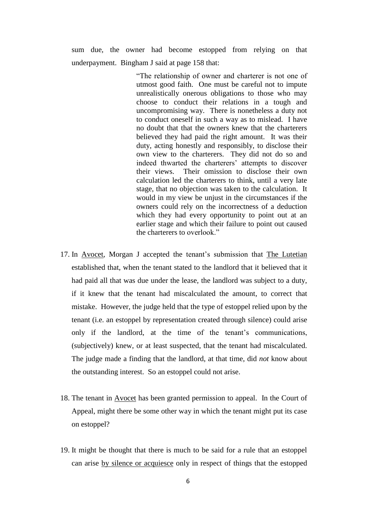sum due, the owner had become estopped from relying on that underpayment. Bingham J said at page 158 that:

> "The relationship of owner and charterer is not one of utmost good faith. One must be careful not to impute unrealistically onerous obligations to those who may choose to conduct their relations in a tough and uncompromising way. There is nonetheless a duty not to conduct oneself in such a way as to mislead. I have no doubt that that the owners knew that the charterers believed they had paid the right amount. It was their duty, acting honestly and responsibly, to disclose their own view to the charterers. They did not do so and indeed thwarted the charterers' attempts to discover their views. Their omission to disclose their own calculation led the charterers to think, until a very late stage, that no objection was taken to the calculation. It would in my view be unjust in the circumstances if the owners could rely on the incorrectness of a deduction which they had every opportunity to point out at an earlier stage and which their failure to point out caused the charterers to overlook."

- 17. In Avocet, Morgan J accepted the tenant's submission that The Lutetian established that, when the tenant stated to the landlord that it believed that it had paid all that was due under the lease, the landlord was subject to a duty, if it knew that the tenant had miscalculated the amount, to correct that mistake. However, the judge held that the type of estoppel relied upon by the tenant (i.e. an estoppel by representation created through silence) could arise only if the landlord, at the time of the tenant's communications, (subjectively) knew, or at least suspected, that the tenant had miscalculated. The judge made a finding that the landlord, at that time, did *not* know about the outstanding interest. So an estoppel could not arise.
- 18. The tenant in Avocet has been granted permission to appeal. In the Court of Appeal, might there be some other way in which the tenant might put its case on estoppel?
- 19. It might be thought that there is much to be said for a rule that an estoppel can arise by silence or acquiesce only in respect of things that the estopped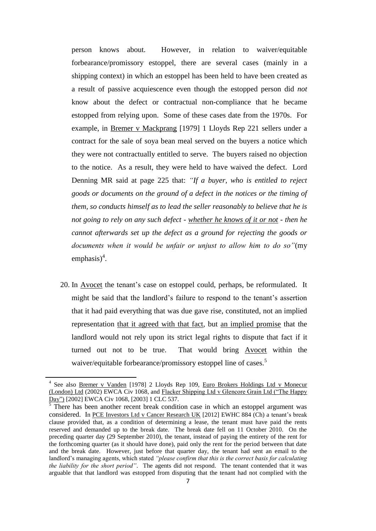person knows about. However, in relation to waiver/equitable forbearance/promissory estoppel, there are several cases (mainly in a shipping context) in which an estoppel has been held to have been created as a result of passive acquiescence even though the estopped person did *not* know about the defect or contractual non-compliance that he became estopped from relying upon. Some of these cases date from the 1970s. For example, in Bremer v Mackprang [1979] 1 Lloyds Rep 221 sellers under a contract for the sale of soya bean meal served on the buyers a notice which they were not contractually entitled to serve. The buyers raised no objection to the notice. As a result, they were held to have waived the defect. Lord Denning MR said at page 225 that: *"If a buyer, who is entitled to reject goods or documents on the ground of a defect in the notices or the timing of them, so conducts himself as to lead the seller reasonably to believe that he is not going to rely on any such defect - whether he knows of it or not - then he cannot afterwards set up the defect as a ground for rejecting the goods or documents when it would be unfair or unjust to allow him to do so"*(my emphasis)<sup>4</sup>.

20. In Avocet the tenant's case on estoppel could, perhaps, be reformulated. It might be said that the landlord's failure to respond to the tenant's assertion that it had paid everything that was due gave rise, constituted, not an implied representation that it agreed with that fact, but an implied promise that the landlord would not rely upon its strict legal rights to dispute that fact if it turned out not to be true. That would bring Avocet within the waiver/equitable forbearance/promissory estoppel line of cases.<sup>5</sup>

1

<sup>&</sup>lt;sup>4</sup> See also Bremer v Vanden [1978] 2 Lloyds Rep 109, Euro Brokers Holdings Ltd v Monecur (London) Ltd (2002) EWCA Civ 1068, and Flacker Shipping Ltd v Glencore Grain Ltd ("The Happy Day") [2002] EWCA Civ 1068, [2003] 1 CLC 537.

 $5$  There has been another recent break condition case in which an estoppel argument was considered. In PCE Investors Ltd v Cancer Research UK [2012] EWHC 884 (Ch) a tenant's break clause provided that, as a condition of determining a lease, the tenant must have paid the rents reserved and demanded up to the break date. The break date fell on 11 October 2010. On the preceding quarter day (29 September 2010), the tenant, instead of paying the entirety of the rent for the forthcoming quarter (as it should have done), paid only the rent for the period between that date and the break date. However, just before that quarter day, the tenant had sent an email to the landlord's managing agents, which stated *"please confirm that this is the correct basis for calculating the liability for the short period"*. The agents did not respond. The tenant contended that it was arguable that that landlord was estopped from disputing that the tenant had not complied with the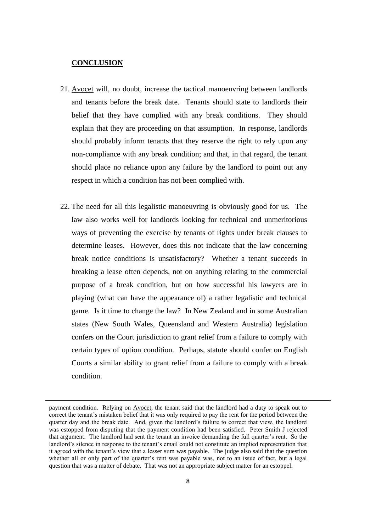## **CONCLUSION**

**.** 

- 21. Avocet will, no doubt, increase the tactical manoeuvring between landlords and tenants before the break date. Tenants should state to landlords their belief that they have complied with any break conditions. They should explain that they are proceeding on that assumption. In response, landlords should probably inform tenants that they reserve the right to rely upon any non-compliance with any break condition; and that, in that regard, the tenant should place no reliance upon any failure by the landlord to point out any respect in which a condition has not been complied with.
- 22. The need for all this legalistic manoeuvring is obviously good for us. The law also works well for landlords looking for technical and unmeritorious ways of preventing the exercise by tenants of rights under break clauses to determine leases. However, does this not indicate that the law concerning break notice conditions is unsatisfactory? Whether a tenant succeeds in breaking a lease often depends, not on anything relating to the commercial purpose of a break condition, but on how successful his lawyers are in playing (what can have the appearance of) a rather legalistic and technical game. Is it time to change the law? In New Zealand and in some Australian states (New South Wales, Queensland and Western Australia) legislation confers on the Court jurisdiction to grant relief from a failure to comply with certain types of option condition. Perhaps, statute should confer on English Courts a similar ability to grant relief from a failure to comply with a break condition.

payment condition. Relying on Avocet, the tenant said that the landlord had a duty to speak out to correct the tenant's mistaken belief that it was only required to pay the rent for the period between the quarter day and the break date. And, given the landlord's failure to correct that view, the landlord was estopped from disputing that the payment condition had been satisfied. Peter Smith J rejected that argument. The landlord had sent the tenant an invoice demanding the full quarter's rent. So the landlord's silence in response to the tenant's email could not constitute an implied representation that it agreed with the tenant's view that a lesser sum was payable. The judge also said that the question whether all or only part of the quarter's rent was payable was, not to an issue of fact, but a legal question that was a matter of debate. That was not an appropriate subject matter for an estoppel.